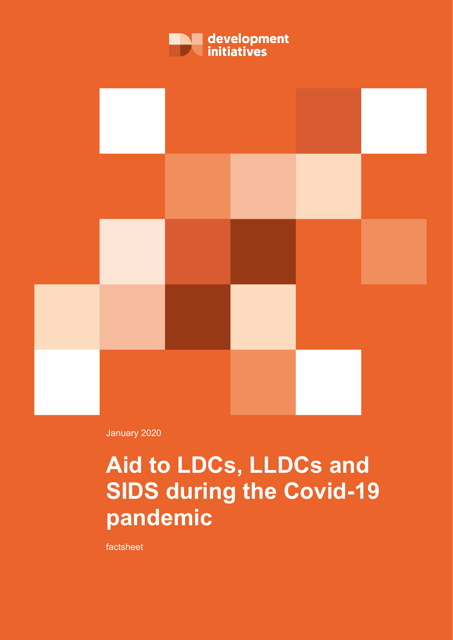



January 2020

## **Aid to LDCs, LLDCs and SIDS during the Covid-19 pandemic**

factsheet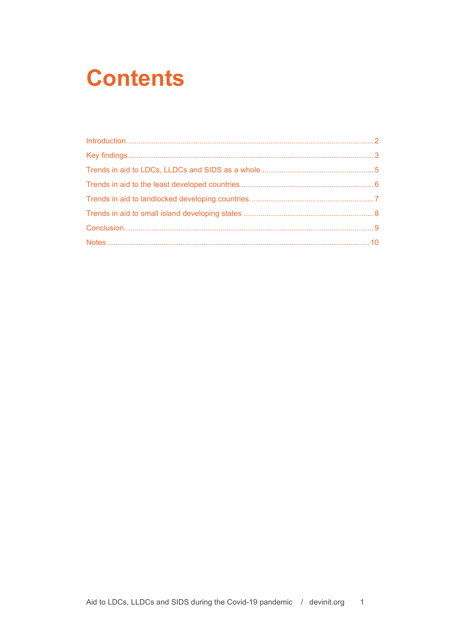## **Contents**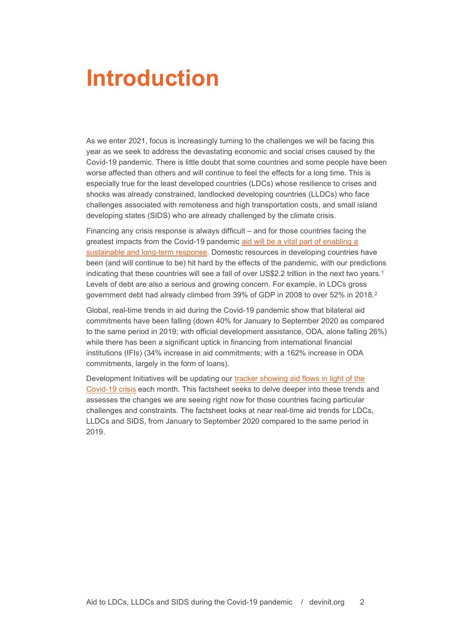### <span id="page-2-0"></span>**Introduction**

As we enter 2021, focus is increasingly turning to the challenges we will be facing this year as we seek to address the devastating economic and social crises caused by the Covid-19 pandemic. There is little doubt that some countries and some people have been worse affected than others and will continue to feel the effects for a long time. This is especially true for the least developed countries (LDCs) whose resilience to crises and shocks was already constrained, landlocked developing countries (LLDCs) who face challenges associated with remoteness and high transportation costs, and small island developing states (SIDS) who are already challenged by the climate crisis.

Financing any crisis response is always difficult – and for those countries facing the greatest impacts from the Covid-19 pandemic [aid will be a vital part of enabling a](https://devinit.org/resources/adapting-aid-to-end-poverty/)  [sustainable and long-term response.](https://devinit.org/resources/adapting-aid-to-end-poverty/) Domestic resources in developing countries have been (and will continue to be) hit hard by the effects of the pandemic, with our predictions indicating that these countries will see a fall of over US\$2.2 trillion in the next two years.<sup>[1](#page-10-1)</sup> Levels of debt are also a serious and growing concern. For example, in LDCs gross government debt had already climbed from 39% of GDP in [2](#page-10-2)008 to over 52% in 2018.<sup>2</sup>

Global, real-time trends in aid during the Covid-19 pandemic show that bilateral aid commitments have been falling (down 40% for January to September 2020 as compared to the same period in 2019; with official development assistance, ODA, alone falling 26%) while there has been a significant uptick in financing from international financial institutions (IFIs) (34% increase in aid commitments; with a 162% increase in ODA commitments, largely in the form of loans).

Development Initiatives will be updating our [tracker showing aid flows in light of the](https://devinit.org/data/tracking-aid-flows-in-light-of-the-covid-19-crisis/)  [Covid-19 crisis](https://devinit.org/data/tracking-aid-flows-in-light-of-the-covid-19-crisis/) each month. This factsheet seeks to delve deeper into these trends and assesses the changes we are seeing right now for those countries facing particular challenges and constraints. The factsheet looks at near real-time aid trends for LDCs, LLDCs and SIDS, from January to September 2020 compared to the same period in 2019.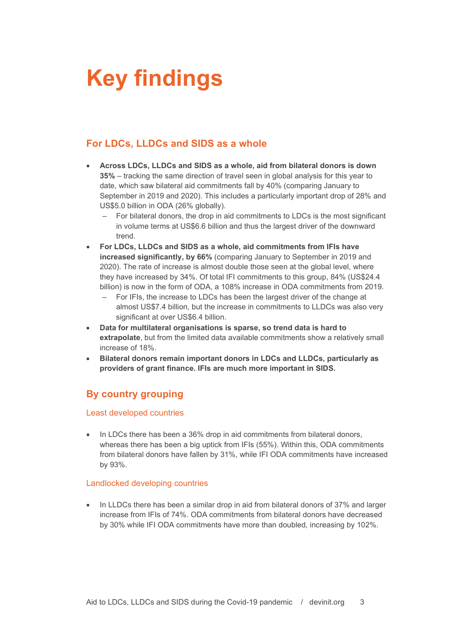# <span id="page-3-0"></span>**Key findings**

### **For LDCs, LLDCs and SIDS as a whole**

- **Across LDCs, LLDCs and SIDS as a whole, aid from bilateral donors is down 35%** – tracking the same direction of travel seen in global analysis for this year to date, which saw bilateral aid commitments fall by 40% (comparing January to September in 2019 and 2020). This includes a particularly important drop of 28% and US\$5.0 billion in ODA (26% globally).
	- For bilateral donors, the drop in aid commitments to LDCs is the most significant in volume terms at US\$6.6 billion and thus the largest driver of the downward trend.
- **For LDCs, LLDCs and SIDS as a whole, aid commitments from IFIs have increased significantly, by 66%** (comparing January to September in 2019 and 2020). The rate of increase is almost double those seen at the global level, where they have increased by 34%. Of total IFI commitments to this group, 84% (US\$24.4 billion) is now in the form of ODA, a 108% increase in ODA commitments from 2019.
	- For IFIs, the increase to LDCs has been the largest driver of the change at almost US\$7.4 billion, but the increase in commitments to LLDCs was also very significant at over US\$6.4 billion.
- **Data for multilateral organisations is sparse, so trend data is hard to extrapolate**, but from the limited data available commitments show a relatively small increase of 18%.
- **Bilateral donors remain important donors in LDCs and LLDCs, particularly as providers of grant finance. IFIs are much more important in SIDS.**

### **By country grouping**

#### Least developed countries

• In LDCs there has been a 36% drop in aid commitments from bilateral donors, whereas there has been a big uptick from IFIs (55%). Within this, ODA commitments from bilateral donors have fallen by 31%, while IFI ODA commitments have increased by 93%.

#### Landlocked developing countries

• In LLDCs there has been a similar drop in aid from bilateral donors of 37% and larger increase from IFIs of 74%. ODA commitments from bilateral donors have decreased by 30% while IFI ODA commitments have more than doubled, increasing by 102%.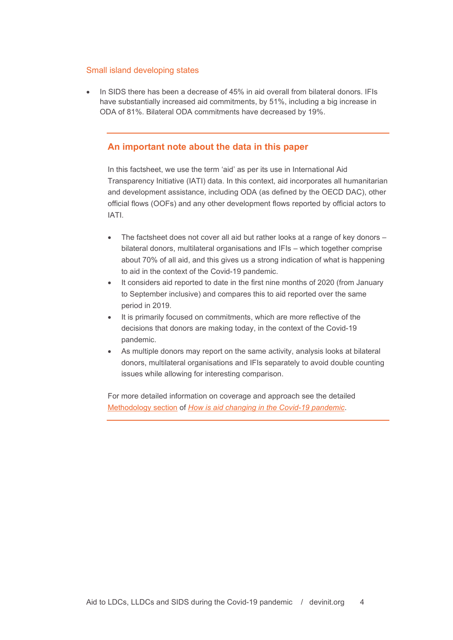#### Small island developing states

• In SIDS there has been a decrease of 45% in aid overall from bilateral donors. IFIs have substantially increased aid commitments, by 51%, including a big increase in ODA of 81%. Bilateral ODA commitments have decreased by 19%.

#### **An important note about the data in this paper**

In this factsheet, we use the term 'aid' as per its use in International Aid Transparency Initiative (IATI) data. In this context, aid incorporates all humanitarian and development assistance, including ODA (as defined [by the OECD DAC\)](http://www.oecd.org/development/financing-sustainable-development/development-finance-standards/officialdevelopmentassistancedefinitionandcoverage.htm), other official flows (OOFs) and any other development flows reported by official actors to IATI.

- The factsheet does not cover all aid but rather looks at a range of key donors bilateral donors, multilateral organisations and IFIs – which together comprise about 70% of all aid, and this gives us a strong indication of what is happening to aid in the context of the Covid-19 pandemic.
- It considers aid reported to date in the first nine months of 2020 (from January to September inclusive) and compares this to aid reported over the same period in 2019.
- It is primarily focused on commitments, which are more reflective of the decisions that donors are making today, in the context of the Covid-19 pandemic.
- As multiple donors may report on the same activity, analysis looks at bilateral donors, multilateral organisations and IFIs separately to avoid double counting issues while allowing for interesting comparison.

For more detailed information on coverage and approach see the detailed [Methodology section](https://www.devinit.org/3dc6db#section-1-8) of *[How is aid changing in the Covid-19 pandemic](https://www.devinit.org/resources/how-aid-changing-covid-19-pandemic/)*.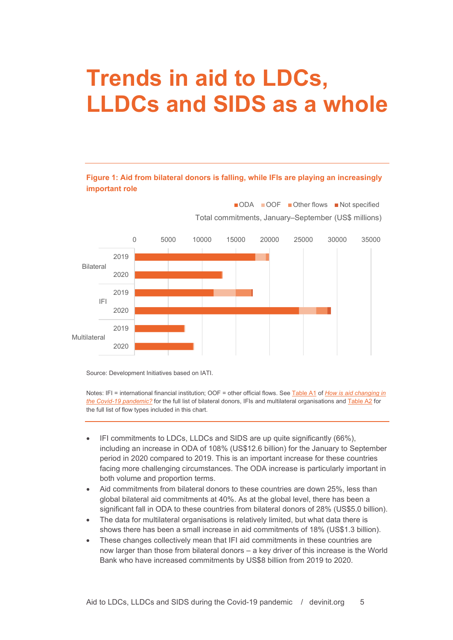## <span id="page-5-0"></span>**Trends in aid to LDCs, LLDCs and SIDS as a whole**

#### **Figure 1: Aid from bilateral donors is falling, while IFIs are playing an increasingly important role**



Source: Development Initiatives based on IATI.

Notes: IFI = international financial institution; OOF = other official flows. See [Table A1](https://www.devinit.org/3dc6db#section-1-8) of *[How is aid changing in](https://www.devinit.org/resources/how-aid-changing-covid-19-pandemic/)  [the Covid-19 pandemic?](https://www.devinit.org/resources/how-aid-changing-covid-19-pandemic/)* for the full list of bilateral donors, IFIs and multilateral organisations and [Table A2](https://www.devinit.org/3dc6db#section-1-8) for the full list of flow types included in this chart.

- IFI commitments to LDCs, LLDCs and SIDS are up quite significantly (66%), including an increase in ODA of 108% (US\$12.6 billion) for the January to September period in 2020 compared to 2019. This is an important increase for these countries facing more challenging circumstances. The ODA increase is particularly important in both volume and proportion terms.
- Aid commitments from bilateral donors to these countries are down 25%, less than global bilateral aid commitments at 40%. As at the global level, there has been a significant fall in ODA to these countries from bilateral donors of 28% (US\$5.0 billion).
- The data for multilateral organisations is relatively limited, but what data there is shows there has been a small increase in aid commitments of 18% (US\$1.3 billion).
- These changes collectively mean that IFI aid commitments in these countries are now larger than those from bilateral donors – a key driver of this increase is the World Bank who have increased commitments by US\$8 billion from 2019 to 2020.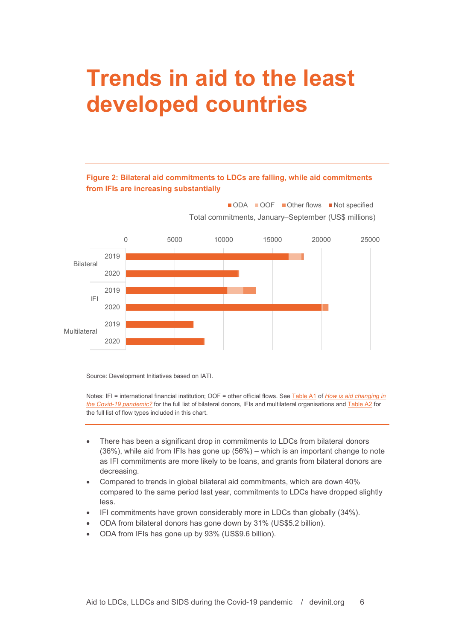## <span id="page-6-0"></span>**Trends in aid to the least developed countries**

### **Figure 2: Bilateral aid commitments to LDCs are falling, while aid commitments from IFIs are increasing substantially**



Source: Development Initiatives based on IATI.

Notes: IFI = international financial institution; OOF = other official flows. See [Table A1](https://www.devinit.org/3dc6db#section-1-8) of *[How is aid changing in](https://www.devinit.org/resources/how-aid-changing-covid-19-pandemic/)  [the Covid-19 pandemic?](https://www.devinit.org/resources/how-aid-changing-covid-19-pandemic/)* for the full list of bilateral donors, IFIs and multilateral organisations and [Table A2](https://www.devinit.org/3dc6db#section-1-8) for the full list of flow types included in this chart.

- There has been a significant drop in commitments to LDCs from bilateral donors (36%), while aid from IFIs has gone up (56%) – which is an important change to note as IFI commitments are more likely to be loans, and grants from bilateral donors are decreasing.
- Compared to trends in global bilateral aid commitments, which are down 40% compared to the same period last year, commitments to LDCs have dropped slightly less.
- IFI commitments have grown considerably more in LDCs than globally (34%).
- ODA from bilateral donors has gone down by 31% (US\$5.2 billion).
- ODA from IFIs has gone up by 93% (US\$9.6 billion).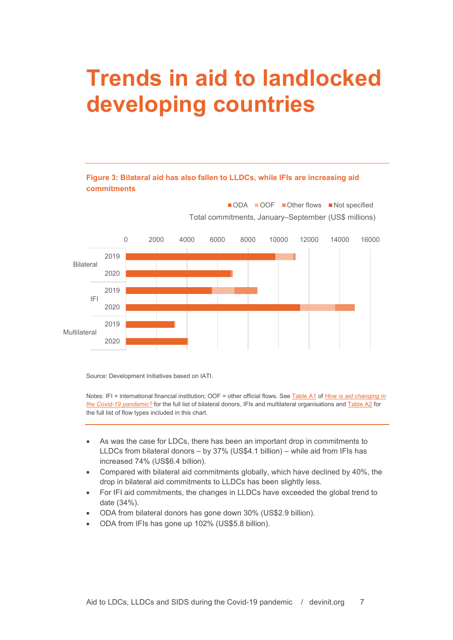## <span id="page-7-0"></span>**Trends in aid to landlocked developing countries**

### **Figure 3: Bilateral aid has also fallen to LLDCs, while IFIs are increasing aid commitments**



Source: Development Initiatives based on IATI.

Notes: IFI = international financial institution; OOF = other official flows. See [Table A1](https://www.devinit.org/3dc6db#section-1-8) of *How is [aid changing in](https://www.devinit.org/resources/how-aid-changing-covid-19-pandemic/)  [the Covid-19 pandemic?](https://www.devinit.org/resources/how-aid-changing-covid-19-pandemic/)* for the full list of bilateral donors, IFIs and multilateral organisations and [Table A2](https://www.devinit.org/3dc6db#section-1-8) for the full list of flow types included in this chart.

- As was the case for LDCs, there has been an important drop in commitments to LLDCs from bilateral donors – by 37% (US\$4.1 billion) – while aid from IFIs has increased 74% (US\$6.4 billion).
- Compared with bilateral aid commitments globally, which have declined by 40%, the drop in bilateral aid commitments to LLDCs has been slightly less.
- For IFI aid commitments, the changes in LLDCs have exceeded the global trend to date (34%).
- ODA from bilateral donors has gone down 30% (US\$2.9 billion).
- ODA from IFIs has gone up 102% (US\$5.8 billion).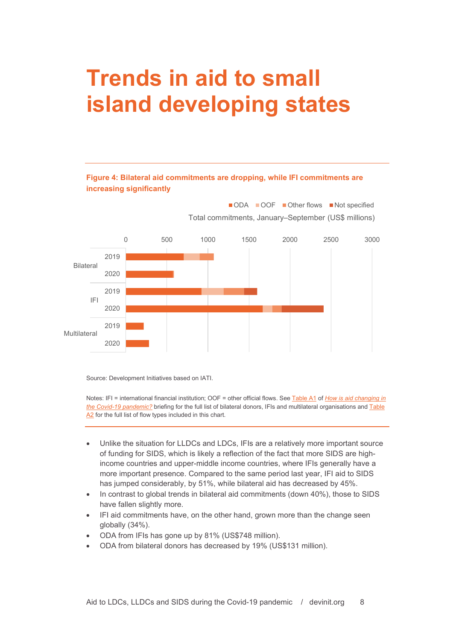## <span id="page-8-0"></span>**Trends in aid to small island developing states**

#### **Figure 4: Bilateral aid commitments are dropping, while IFI commitments are increasing significantly**



Source: Development Initiatives based on IATI.

Notes: IFI = international financial institution; OOF = other official flows. See [Table A1](https://www.devinit.org/3dc6db#section-1-8) of *[How is aid changing in](https://www.devinit.org/resources/how-aid-changing-covid-19-pandemic/)  [the Covid-19 pandemic?](https://www.devinit.org/resources/how-aid-changing-covid-19-pandemic/)* briefing for the full list of bilateral donors, IFIs and multilateral organisations an[d Table](https://www.devinit.org/3dc6db#section-1-8)  [A2](https://www.devinit.org/3dc6db#section-1-8) for the full list of flow types included in this chart.

- Unlike the situation for LLDCs and LDCs, IFIs are a relatively more important source of funding for SIDS, which is likely a reflection of the fact that more SIDS are highincome countries and upper-middle income countries, where IFIs generally have a more important presence. Compared to the same period last year, IFI aid to SIDS has jumped considerably, by 51%, while bilateral aid has decreased by 45%.
- In contrast to global trends in bilateral aid commitments (down 40%), those to SIDS have fallen slightly more.
- IFI aid commitments have, on the other hand, grown more than the change seen globally (34%).
- ODA from IFIs has gone up by 81% (US\$748 million).
- ODA from bilateral donors has decreased by 19% (US\$131 million).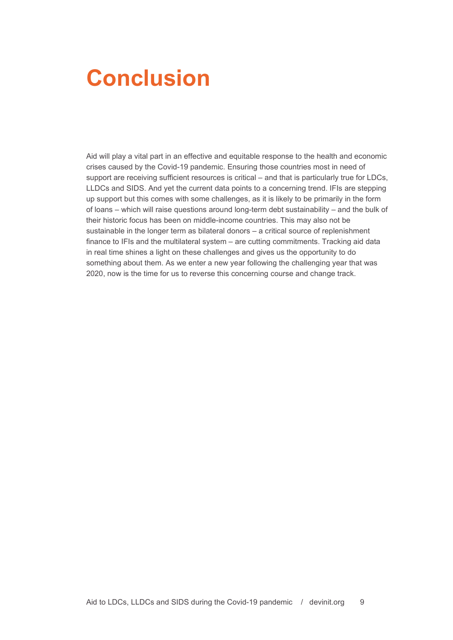### <span id="page-9-0"></span>**Conclusion**

Aid will play a vital part in an effective and equitable response to the health and economic crises caused by the Covid-19 pandemic. Ensuring those countries most in need of support are receiving sufficient resources is critical – and that is particularly true for LDCs, LLDCs and SIDS. And yet the current data points to a concerning trend. IFIs are stepping up support but this comes with some challenges, as it is likely to be primarily in the form of loans – which will raise questions around long-term debt sustainability – and the bulk of their historic focus has been on middle-income countries. This may also not be sustainable in the longer term as bilateral donors – a critical source of replenishment finance to IFIs and the multilateral system – are cutting commitments. Tracking aid data in real time shines a light on these challenges and gives us the opportunity to do something about them. As we enter a new year following the challenging year that was 2020, now is the time for us to reverse this concerning course and change track.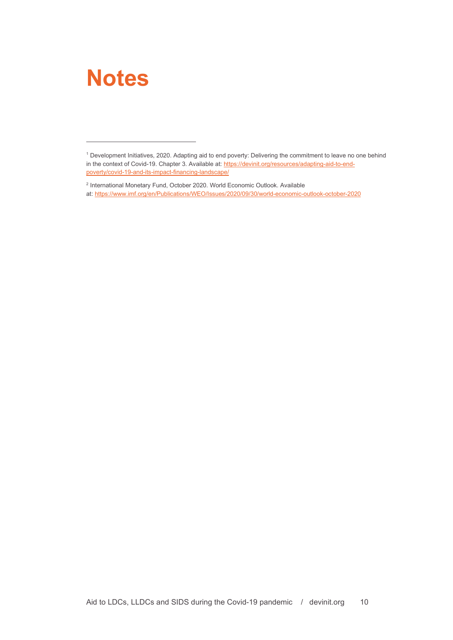### <span id="page-10-0"></span>**Notes**

<span id="page-10-1"></span><sup>1</sup> Development Initiatives, 2020. Adapting aid to end poverty: Delivering the commitment to leave no one behind in the context of Covid-19. Chapter 3. Available at: https://devinit.org/resources/adapting-aid-to-endpoverty/covid-19-and-its-impact-financing-landscape/

<span id="page-10-2"></span><sup>2</sup> International Monetary Fund, October 2020. World Economic Outlook. Available at: <https://www.imf.org/en/Publications/WEO/Issues/2020/09/30/world-economic-outlook-october-2020>